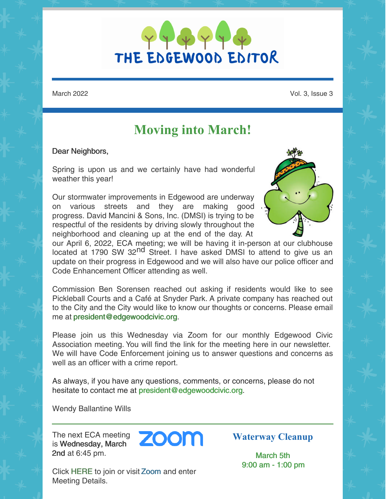THE EDGEWOOD EDITOR

March 2022 Vol. 3, Issue 3

# **Moving into March!**

#### Dear Neighbors,

Spring is upon us and we certainly have had wonderful weather this year!

Our stormwater improvements in Edgewood are underway on various streets and they are making good progress. David Mancini & Sons, Inc. (DMSI) is trying to be respectful of the residents by driving slowly throughout the neighborhood and cleaning up at the end of the day. At



our April 6, 2022, ECA meeting; we will be having it in-person at our clubhouse located at 1790 SW 32<sup>nd</sup> Street. I have asked DMSI to attend to give us an update on their progress in Edgewood and we will also have our police officer and Code Enhancement Officer attending as well.

Commission Ben Sorensen reached out asking if residents would like to see Pickleball Courts and a Café at Snyder Park. A private company has reached out to the City and the City would like to know our thoughts or concerns. Please email me at president@edgewoodcivic.org.

Please join us this Wednesday via Zoom for our monthly Edgewood Civic Association meeting. You will find the link for the meeting here in our newsletter. We will have Code Enforcement joining us to answer questions and concerns as well as an officer with a crime report.

As always, if you have any questions, comments, or concerns, please do not hesitate to contact me at president@edgewoodcivic.org.

Wendy Ballantine Wills

The next ECA meeting<br>is Wednesday March is Wednesday, March 2nd at 6:45 pm.



Click HERE to join or visit Zoom and enter Meeting Details.

**Waterway Cleanup**

March 5th 9:00 am - 1:00 pm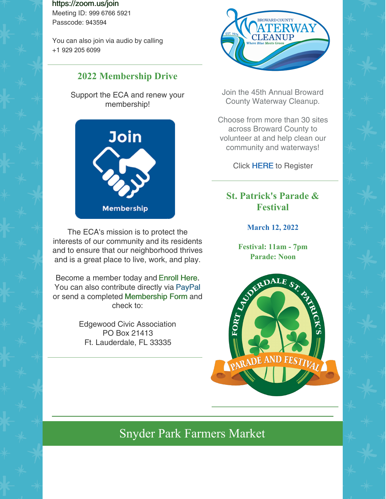https://zoom.us/join

Meeting ID: 999 6766 5921 Passcode: 943594

You can also join via audio by calling +1 929 205 6099

### **2022 Membership Drive**

Support the ECA and renew your membership!



The ECA's mission is to protect the interests of our community and its residents and to ensure that our neighborhood thrives and is a great place to live, work, and play.

Become a member today and Enroll Here. You can also contribute directly via PayPal or send a completed Membership Form and check to:

> Edgewood Civic Association PO Box 21413 Ft. Lauderdale, FL 33335



Join the 45th Annual Broward County Waterway Cleanup.

Choose from more than 30 sites across Broward County to volunteer at and help clean our community and waterways!

Click HERE to Register

### **St. Patrick's Parade & Festival**

**March 12, 2022**

**Festival: 11am - 7pm**



# Snyder Park Farmers Market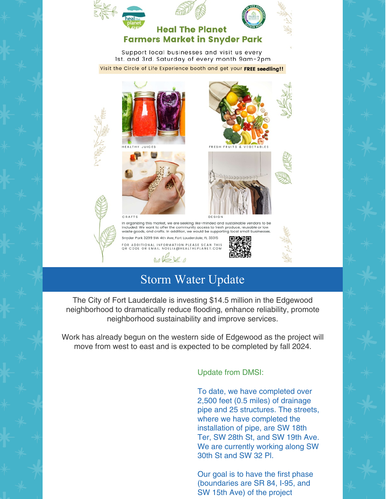



#### **Heal The Planet Farmers Market in Snyder Park**

Support local businesses and visit us every Ist. and 3rd. Saturday of every month 9am-2pm Visit the Circle of Life Experience booth and get your FREE seedling!!









In organizing this market, we are seeking like-minded and sustainable vendors to be included. We want to offer the community access to fresh produce, reusable or low<br>waste goods, and crafts. In addition, we would be supporting local small businesses Snyder Park 3299 SW 4th Ave, Fort Lauderdale, FL 33315

FOR ADDITIONAL INFORMATION PLEASE SCAN THIS<br>QR CODE OR EMAIL NOELIA@HEALTHEPLANET.COM



 $000$ 

# Storm Water Update

The City of Fort Lauderdale is investing \$14.5 million in the Edgewood neighborhood to dramatically reduce flooding, enhance reliability, promote neighborhood sustainability and improve services.

Work has already begun on the western side of Edgewood as the project will move from west to east and is expected to be completed by fall 2024.

#### Update from DMSI:

To date, we have completed over 2,500 feet (0.5 miles) of drainage pipe and 25 structures. The streets, where we have completed the installation of pipe, are SW 18th Ter, SW 28th St, and SW 19th Ave. We are currently working along SW 30th St and SW 32 Pl.

Our goal is to have the first phase (boundaries are SR 84, I-95, and SW 15th Ave) of the project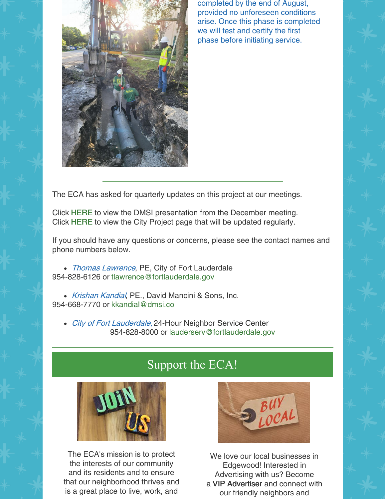

completed by the end of August, provided no unforeseen conditions arise. Once this phase is completed we will test and certify the first phase before initiating service.

The ECA has asked for quarterly updates on this project at our meetings.

Click HERE to view the DMSI presentation from the December meeting. Click HERE to view the City Project page that will be updated regularly.

If you should have any questions or concerns, please see the contact names and phone numbers below.

• Thomas Lawrence, PE, City of Fort Lauderdale 954-828-6126 or tlawrence@fortlauderdale.gov

• Krishan Kandial, PE., David Mancini & Sons, Inc. 954-668-7770 or kkandial@dmsi.co

• City of Fort Lauderdale, 24-Hour Neighbor Service Center 954-828-8000 or lauderserv@fortlauderdale.gov

## Support the ECA!



The ECA's mission is to protect the interests of our community and its residents and to ensure that our neighborhood thrives and is a great place to live, work, and



We love our local businesses in Edgewood! Interested in Advertising with us? Become a VIP Advertiser and connect with our friendly neighbors and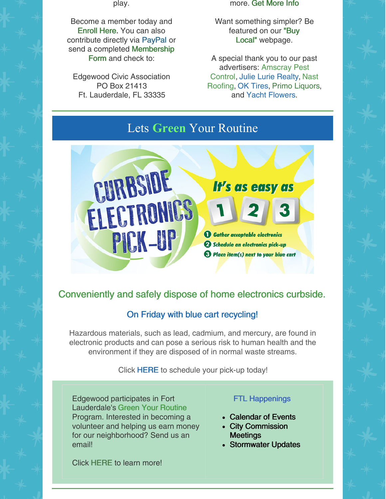play.

Become a member today and Enroll Here. You can also contribute directly via PayPal or send a completed Membership Form and check to:

Edgewood Civic Association PO Box 21413 Ft. Lauderdale, FL 33335

more. Get More Info

Want something simpler? Be featured on our "Buy Local" webpage.

A special thank you to our past advertisers: Amscray Pest Control, Julie Lurie Realty, Nast Roofing, OK Tires, Primo Liquors, and Yacht Flowers.

# Lets **Green** Your Routine



### Conveniently and safely dispose of home electronics curbside.

### On Friday with blue cart recycling!

Hazardous materials, such as lead, cadmium, and mercury, are found in electronic products and can pose a serious risk to human health and the environment if they are disposed of in normal waste streams.

Click HERE to schedule your pick-up today!

Edgewood participates in Fort Lauderdale's Green Your Routine Program. Interested in becoming a volunteer and helping us earn money for our neighborhood? Send us an email!

#### FTL Happenings

- Calendar of Events
- City Commission **Meetings**
- Stormwater Updates

Click HERE to learn more!